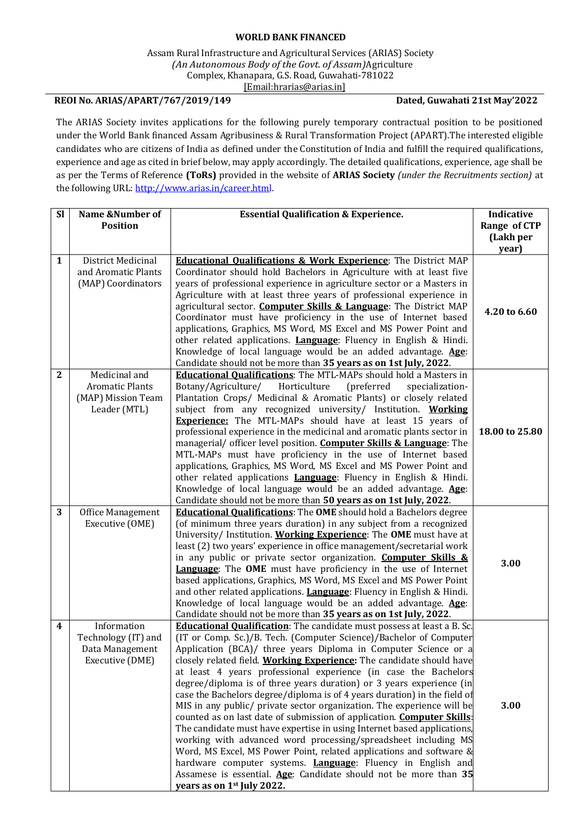## **WORLD BANK FINANCED**

Assam Rural Infrastructure and Agricultural Services (ARIAS) Society *(An Autonomous Body of the Govt. of Assam)*Agriculture Complex, Khanapara, G.S. Road, Guwahati-781022 [\[Email:hrarias@arias.in\]](mailto:recruitments@arias.in)

## **REOI No. ARIAS/APART/767/2019/149 Dated, Guwahati 21st May'2022**

The ARIAS Society invites applications for the following purely temporary contractual position to be positioned under the World Bank financed Assam Agribusiness & Rural Transformation Project (APART).The interested eligible candidates who are citizens of India as defined under the Constitution of India and fulfill the required qualifications, experience and age as cited in brief below, may apply accordingly. The detailed qualifications, experience, age shall be as per the Terms of Reference **(ToRs)** provided in the website of **ARIAS Society** *(under the Recruitments section)* at the following URL: [http://www.arias.in/career.html.](http://www.arias.in/career.html)

| <b>Sl</b>    | Name &Number of                                                               | <b>Essential Qualification &amp; Experience.</b>                                                                                                                                                                                                                                                                                                                                                                                                                                                                                                                                                                                                                                                                                                                                                                                                                                                                                                                                                                                                                              | <b>Indicative</b>         |
|--------------|-------------------------------------------------------------------------------|-------------------------------------------------------------------------------------------------------------------------------------------------------------------------------------------------------------------------------------------------------------------------------------------------------------------------------------------------------------------------------------------------------------------------------------------------------------------------------------------------------------------------------------------------------------------------------------------------------------------------------------------------------------------------------------------------------------------------------------------------------------------------------------------------------------------------------------------------------------------------------------------------------------------------------------------------------------------------------------------------------------------------------------------------------------------------------|---------------------------|
|              | <b>Position</b>                                                               |                                                                                                                                                                                                                                                                                                                                                                                                                                                                                                                                                                                                                                                                                                                                                                                                                                                                                                                                                                                                                                                                               | Range of CTP<br>(Lakh per |
|              |                                                                               |                                                                                                                                                                                                                                                                                                                                                                                                                                                                                                                                                                                                                                                                                                                                                                                                                                                                                                                                                                                                                                                                               | year)                     |
| $\mathbf{1}$ | District Medicinal<br>and Aromatic Plants<br>(MAP) Coordinators               | <b>Educational Qualifications &amp; Work Experience:</b> The District MAP<br>Coordinator should hold Bachelors in Agriculture with at least five<br>years of professional experience in agriculture sector or a Masters in<br>Agriculture with at least three years of professional experience in                                                                                                                                                                                                                                                                                                                                                                                                                                                                                                                                                                                                                                                                                                                                                                             |                           |
|              |                                                                               | agricultural sector. Computer Skills & Language: The District MAP<br>Coordinator must have proficiency in the use of Internet based<br>applications, Graphics, MS Word, MS Excel and MS Power Point and<br>other related applications. <i>Language</i> : Fluency in English & Hindi.<br>Knowledge of local language would be an added advantage. Age:<br>Candidate should not be more than 35 years as on 1st July, 2022.                                                                                                                                                                                                                                                                                                                                                                                                                                                                                                                                                                                                                                                     | 4.20 to 6.60              |
| $\mathbf{2}$ | Medicinal and<br><b>Aromatic Plants</b><br>(MAP) Mission Team<br>Leader (MTL) | <b>Educational Qualifications:</b> The MTL-MAPs should hold a Masters in<br>Botany/Agriculture/<br>Horticulture<br>(preferred<br>specialization-<br>Plantation Crops/ Medicinal & Aromatic Plants) or closely related<br>subject from any recognized university/ Institution. Working<br><b>Experience:</b> The MTL-MAPs should have at least 15 years of<br>professional experience in the medicinal and aromatic plants sector in<br>managerial/ officer level position. Computer Skills & Language: The<br>MTL-MAPs must have proficiency in the use of Internet based<br>applications, Graphics, MS Word, MS Excel and MS Power Point and<br>other related applications <b>Language</b> : Fluency in English & Hindi.<br>Knowledge of local language would be an added advantage. Age:<br>Candidate should not be more than 50 years as on 1st July, 2022.                                                                                                                                                                                                                | 18.00 to 25.80            |
| 3            | Office Management<br>Executive (OME)                                          | <b>Educational Qualifications:</b> The <b>OME</b> should hold a Bachelors degree<br>(of minimum three years duration) in any subject from a recognized<br>University/ Institution. Working Experience: The OME must have at<br>least (2) two years' experience in office management/secretarial work<br>in any public or private sector organization. Computer Skills &<br><b>Language:</b> The OME must have proficiency in the use of Internet<br>based applications, Graphics, MS Word, MS Excel and MS Power Point<br>and other related applications. Language: Fluency in English & Hindi.<br>Knowledge of local language would be an added advantage. Age:<br>Candidate should not be more than 35 years as on 1st July, 2022.                                                                                                                                                                                                                                                                                                                                          | 3.00                      |
| 4            | Information<br>Technology (IT) and<br>Data Management<br>Executive (DME)      | <b>Educational Qualification</b> : The candidate must possess at least a B. Sc.<br>(IT or Comp. Sc.)/B. Tech. (Computer Science)/Bachelor of Computer<br>Application (BCA)/ three years Diploma in Computer Science or a<br>closely related field. Working Experience: The candidate should have<br>at least 4 years professional experience (in case the Bachelors<br>degree/diploma is of three years duration) or 3 years experience (in<br>case the Bachelors degree/diploma is of 4 years duration) in the field of<br>MIS in any public/ private sector organization. The experience will be<br>counted as on last date of submission of application. Computer Skills:<br>The candidate must have expertise in using Internet based applications,<br>working with advanced word processing/spreadsheet including MS<br>Word, MS Excel, MS Power Point, related applications and software &<br>hardware computer systems. Language: Fluency in English and<br>Assamese is essential. Age: Candidate should not be more than 35<br>years as on 1 <sup>st</sup> July 2022. | 3.00                      |